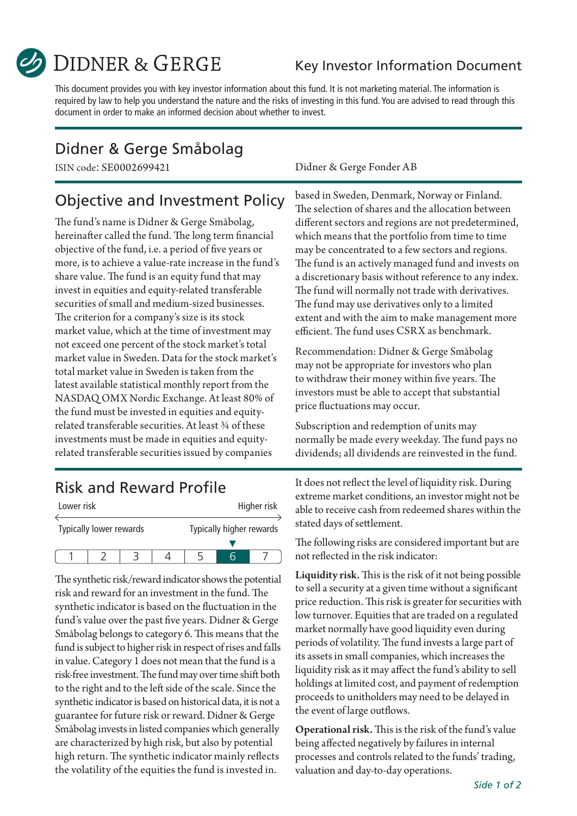

**DIDNER & GERGE** 

#### Key Investor Information Document

This document provides you with key investor information about this fund. It is not marketing material. The information is required by law to help you understand the nature and the risks of investing in this fund. You are advised to read through this document in order to make an informed decision about whether to invest.

### Didner & Gerge Småbolag

## Objective and Investment Policy

The fund's name is Didner & Gerge Småbolag, hereinafter called the fund. The long term financial objective of the fund, i.e. a period of five years or more, is to achieve a value-rate increase in the fund's share value. The fund is an equity fund that may invest in equities and equity-related transferable securities of small and medium-sized businesses. The criterion for a company's size is its stock market value, which at the time of investment may not exceed one percent of the stock market's total market value in Sweden. Data for the stock market's total market value in Sweden is taken from the latest available statistical monthly report from the NASDAQ OMX Nordic Exchange. At least 80% of the fund must be invested in equities and equityrelated transferable securities. At least ¾ of these investments must be made in equities and equityrelated transferable securities issued by companies

### Risk and Reward Profile

| Lower risk              |  |  |  |                          |  | Higher risk |
|-------------------------|--|--|--|--------------------------|--|-------------|
| Typically lower rewards |  |  |  | Typically higher rewards |  |             |
|                         |  |  |  |                          |  |             |
|                         |  |  |  |                          |  |             |

The synthetic risk/reward indicator shows the potential risk and reward for an investment in the fund. The synthetic indicator is based on the fluctuation in the fund's value over the past five years. Didner & Gerge Småbolag belongs to category 6. This means that the fund is subject to higher risk in respect of rises and falls in value. Category 1 does not mean that the fund is a risk-free investment. The fund may over time shift both to the right and to the left side of the scale. Since the synthetic indicator is based on historical data, it is not a guarantee for future risk or reward. Didner & Gerge Småbolag invests in listed companies which generally are characterized by high risk, but also by potential high return. The synthetic indicator mainly reflects the volatility of the equities the fund is invested in.

ISIN code: SE0002699421 Didner & Gerge Fonder AB

based in Sweden, Denmark, Norway or Finland. The selection of shares and the allocation between different sectors and regions are not predetermined, which means that the portfolio from time to time may be concentrated to a few sectors and regions. The fund is an actively managed fund and invests on a discretionary basis without reference to any index. The fund will normally not trade with derivatives. The fund may use derivatives only to a limited extent and with the aim to make management more efficient. The fund uses CSRX as benchmark.

Recommendation: Didner & Gerge Småbolag may not be appropriate for investors who plan to withdraw their money within five years. The investors must be able to accept that substantial price fluctuations may occur.

Subscription and redemption of units may normally be made every weekday. The fund pays no dividends; all dividends are reinvested in the fund.

It does not reflect the level of liquidity risk. During extreme market conditions, an investor might not be able to receive cash from redeemed shares within the stated days of settlement.

The following risks are considered important but are not reflected in the risk indicator:

Liquidity risk. This is the risk of it not being possible to sell a security at a given time without a significant price reduction. This risk is greater for securities with low turnover. Equities that are traded on a regulated market normally have good liquidity even during periods of volatility. The fund invests a large part of its assets in small companies, which increases the liquidity risk as it may affect the fund's ability to sell holdings at limited cost, and payment of redemption proceeds to unitholders may need to be delayed in the event of large outflows.

Operational risk. This is the risk of the fund's value being affected negatively by failures in internal processes and controls related to the funds' trading, valuation and day-to-day operations.